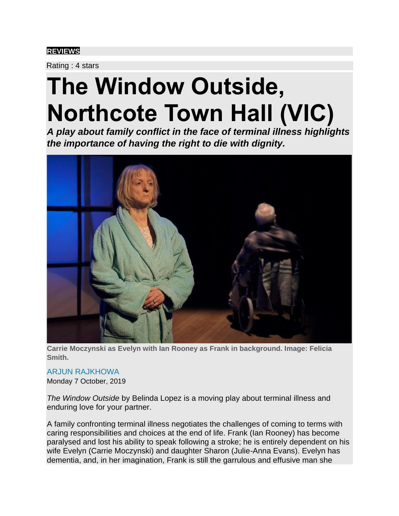## **[REVIEWS](https://www.artshub.com.au/news-search/reviews/)**

Rating : 4 stars

## **The Window Outside, Northcote Town Hall (VIC)**

*A play about family conflict in the face of terminal illness highlights the importance of having the right to die with dignity.*



**Carrie Moczynski as Evelyn with Ian Rooney as Frank in background. Image: Felicia Smith.**

ARJUN RAJKHOWA Monday 7 October, 2019

*The Window Outside* by Belinda Lopez is a moving play about terminal illness and enduring love for your partner.

A family confronting terminal illness negotiates the challenges of coming to terms with caring responsibilities and choices at the end of life. Frank (Ian Rooney) has become paralysed and lost his ability to speak following a stroke; he is entirely dependent on his wife Evelyn (Carrie Moczynski) and daughter Sharon (Julie-Anna Evans). Evelyn has dementia, and, in her imagination, Frank is still the garrulous and effusive man she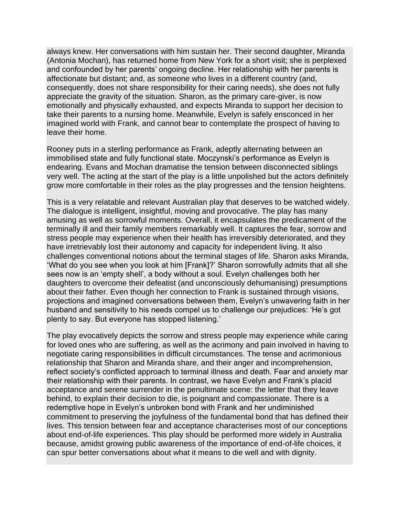always knew. Her conversations with him sustain her. Their second daughter, Miranda (Antonia Mochan), has returned home from New York for a short visit; she is perplexed and confounded by her parents' ongoing decline. Her relationship with her parents is affectionate but distant; and, as someone who lives in a different country (and, consequently, does not share responsibility for their caring needs), she does not fully appreciate the gravity of the situation. Sharon, as the primary care-giver, is now emotionally and physically exhausted, and expects Miranda to support her decision to take their parents to a nursing home. Meanwhile, Evelyn is safely ensconced in her imagined world with Frank, and cannot bear to contemplate the prospect of having to leave their home.

Rooney puts in a sterling performance as Frank, adeptly alternating between an immobilised state and fully functional state. Moczynski's performance as Evelyn is endearing. Evans and Mochan dramatise the tension between disconnected siblings very well. The acting at the start of the play is a little unpolished but the actors definitely grow more comfortable in their roles as the play progresses and the tension heightens.

This is a very relatable and relevant Australian play that deserves to be watched widely. The dialogue is intelligent, insightful, moving and provocative. The play has many amusing as well as sorrowful moments. Overall, it encapsulates the predicament of the terminally ill and their family members remarkably well. It captures the fear, sorrow and stress people may experience when their health has irreversibly deteriorated, and they have irretrievably lost their autonomy and capacity for independent living. It also challenges conventional notions about the terminal stages of life. Sharon asks Miranda, 'What do you see when you look at him [Frank]?' Sharon sorrowfully admits that all she sees now is an 'empty shell', a body without a soul. Evelyn challenges both her daughters to overcome their defeatist (and unconsciously dehumanising) presumptions about their father. Even though her connection to Frank is sustained through visions, projections and imagined conversations between them, Evelyn's unwavering faith in her husband and sensitivity to his needs compel us to challenge our prejudices: 'He's got plenty to say. But everyone has stopped listening.'

The play evocatively depicts the sorrow and stress people may experience while caring for loved ones who are suffering, as well as the acrimony and pain involved in having to negotiate caring responsibilities in difficult circumstances. The tense and acrimonious relationship that Sharon and Miranda share, and their anger and incomprehension, reflect society's conflicted approach to terminal illness and death. Fear and anxiety mar their relationship with their parents. In contrast, we have Evelyn and Frank's placid acceptance and serene surrender in the penultimate scene: the letter that they leave behind, to explain their decision to die, is poignant and compassionate. There is a redemptive hope in Evelyn's unbroken bond with Frank and her undiminished commitment to preserving the joyfulness of the fundamental bond that has defined their lives. This tension between fear and acceptance characterises most of our conceptions about end-of-life experiences. This play should be performed more widely in Australia because, amidst growing public awareness of the importance of end-of-life choices, it can spur better conversations about what it means to die well and with dignity.